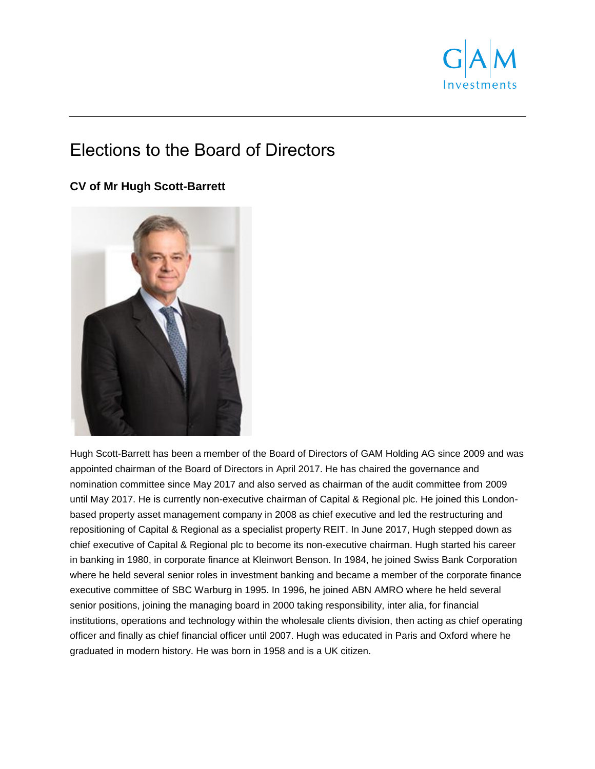

# Elections to the Board of Directors

# **CV of Mr Hugh Scott-Barrett**



Hugh Scott-Barrett has been a member of the Board of Directors of GAM Holding AG since 2009 and was appointed chairman of the Board of Directors in April 2017. He has chaired the governance and nomination committee since May 2017 and also served as chairman of the audit committee from 2009 until May 2017. He is currently non-executive chairman of Capital & Regional plc. He joined this Londonbased property asset management company in 2008 as chief executive and led the restructuring and repositioning of Capital & Regional as a specialist property REIT. In June 2017, Hugh stepped down as chief executive of Capital & Regional plc to become its non-executive chairman. Hugh started his career in banking in 1980, in corporate finance at Kleinwort Benson. In 1984, he joined Swiss Bank Corporation where he held several senior roles in investment banking and became a member of the corporate finance executive committee of SBC Warburg in 1995. In 1996, he joined ABN AMRO where he held several senior positions, joining the managing board in 2000 taking responsibility, inter alia, for financial institutions, operations and technology within the wholesale clients division, then acting as chief operating officer and finally as chief financial officer until 2007. Hugh was educated in Paris and Oxford where he graduated in modern history. He was born in 1958 and is a UK citizen.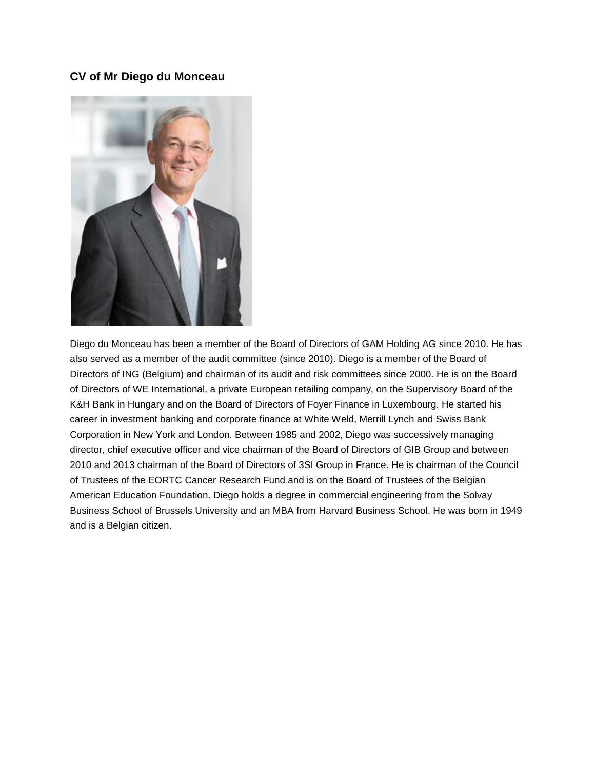#### **CV of Mr Diego du Monceau**



Diego du Monceau has been a member of the Board of Directors of GAM Holding AG since 2010. He has also served as a member of the audit committee (since 2010). Diego is a member of the Board of Directors of ING (Belgium) and chairman of its audit and risk committees since 2000. He is on the Board of Directors of WE International, a private European retailing company, on the Supervisory Board of the K&H Bank in Hungary and on the Board of Directors of Foyer Finance in Luxembourg. He started his career in investment banking and corporate finance at White Weld, Merrill Lynch and Swiss Bank Corporation in New York and London. Between 1985 and 2002, Diego was successively managing director, chief executive officer and vice chairman of the Board of Directors of GIB Group and between 2010 and 2013 chairman of the Board of Directors of 3SI Group in France. He is chairman of the Council of Trustees of the EORTC Cancer Research Fund and is on the Board of Trustees of the Belgian American Education Foundation. Diego holds a degree in commercial engineering from the Solvay Business School of Brussels University and an MBA from Harvard Business School. He was born in 1949 and is a Belgian citizen.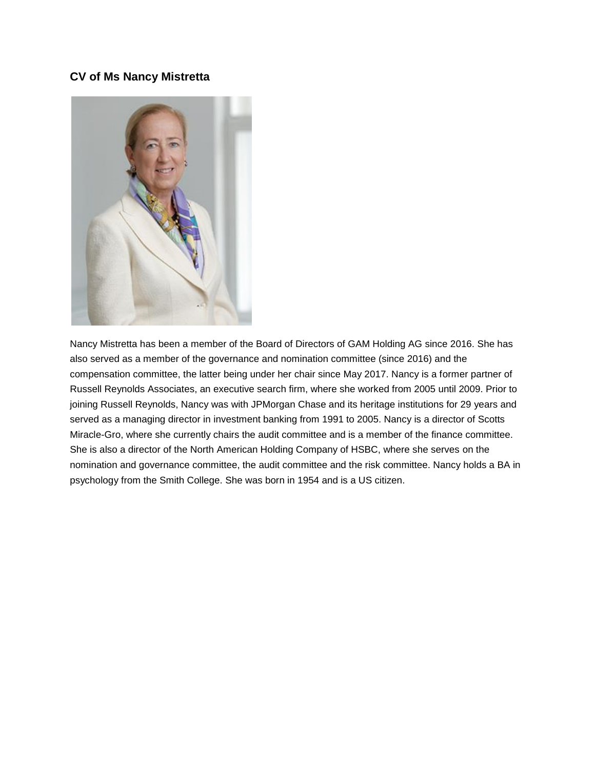#### **CV of Ms Nancy Mistretta**



Nancy Mistretta has been a member of the Board of Directors of GAM Holding AG since 2016. She has also served as a member of the governance and nomination committee (since 2016) and the compensation committee, the latter being under her chair since May 2017. Nancy is a former partner of Russell Reynolds Associates, an executive search firm, where she worked from 2005 until 2009. Prior to joining Russell Reynolds, Nancy was with JPMorgan Chase and its heritage institutions for 29 years and served as a managing director in investment banking from 1991 to 2005. Nancy is a director of Scotts Miracle-Gro, where she currently chairs the audit committee and is a member of the finance committee. She is also a director of the North American Holding Company of HSBC, where she serves on the nomination and governance committee, the audit committee and the risk committee. Nancy holds a BA in psychology from the Smith College. She was born in 1954 and is a US citizen.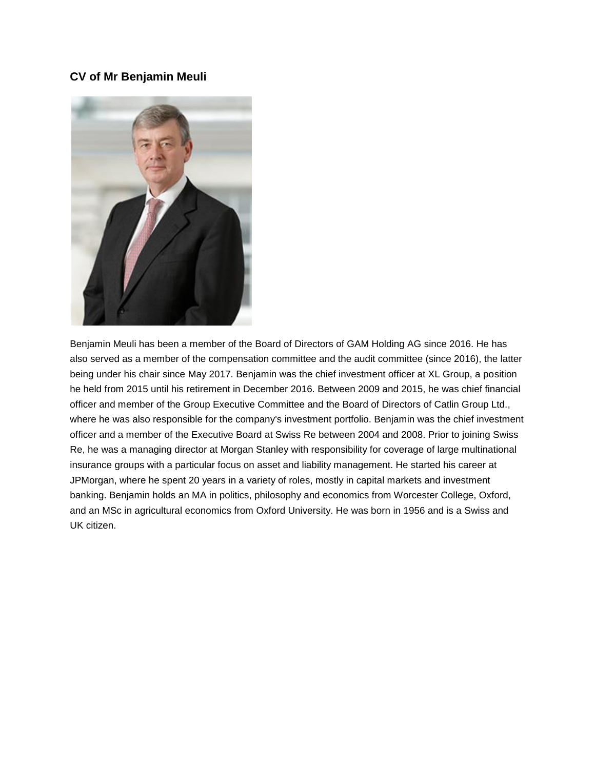#### **CV of Mr Benjamin Meuli**



Benjamin Meuli has been a member of the Board of Directors of GAM Holding AG since 2016. He has also served as a member of the compensation committee and the audit committee (since 2016), the latter being under his chair since May 2017. Benjamin was the chief investment officer at XL Group, a position he held from 2015 until his retirement in December 2016. Between 2009 and 2015, he was chief financial officer and member of the Group Executive Committee and the Board of Directors of Catlin Group Ltd., where he was also responsible for the company's investment portfolio. Benjamin was the chief investment officer and a member of the Executive Board at Swiss Re between 2004 and 2008. Prior to joining Swiss Re, he was a managing director at Morgan Stanley with responsibility for coverage of large multinational insurance groups with a particular focus on asset and liability management. He started his career at JPMorgan, where he spent 20 years in a variety of roles, mostly in capital markets and investment banking. Benjamin holds an MA in politics, philosophy and economics from Worcester College, Oxford, and an MSc in agricultural economics from Oxford University. He was born in 1956 and is a Swiss and UK citizen.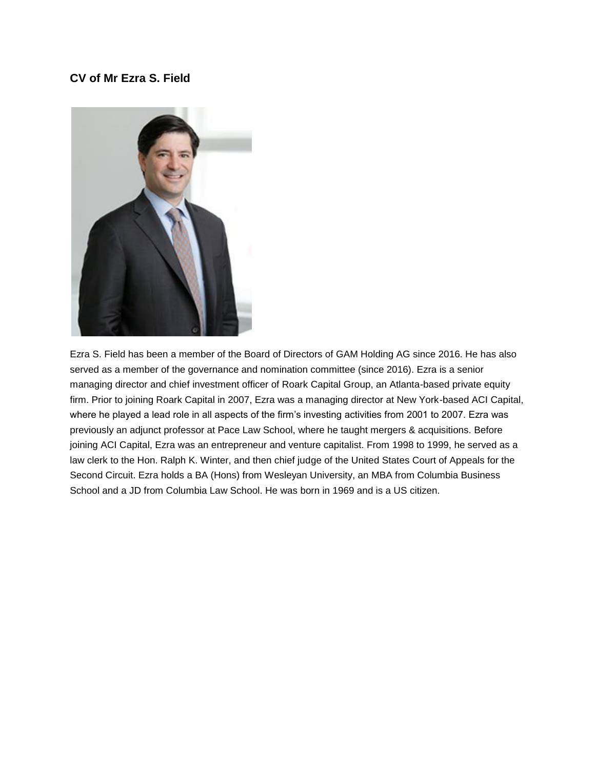## **CV of Mr Ezra S. Field**



Ezra S. Field has been a member of the Board of Directors of GAM Holding AG since 2016. He has also served as a member of the governance and nomination committee (since 2016). Ezra is a senior managing director and chief investment officer of Roark Capital Group, an Atlanta-based private equity firm. Prior to joining Roark Capital in 2007, Ezra was a managing director at New York-based ACI Capital, where he played a lead role in all aspects of the firm's investing activities from 2001 to 2007. Ezra was previously an adjunct professor at Pace Law School, where he taught mergers & acquisitions. Before joining ACI Capital, Ezra was an entrepreneur and venture capitalist. From 1998 to 1999, he served as a law clerk to the Hon. Ralph K. Winter, and then chief judge of the United States Court of Appeals for the Second Circuit. Ezra holds a BA (Hons) from Wesleyan University, an MBA from Columbia Business School and a JD from Columbia Law School. He was born in 1969 and is a US citizen.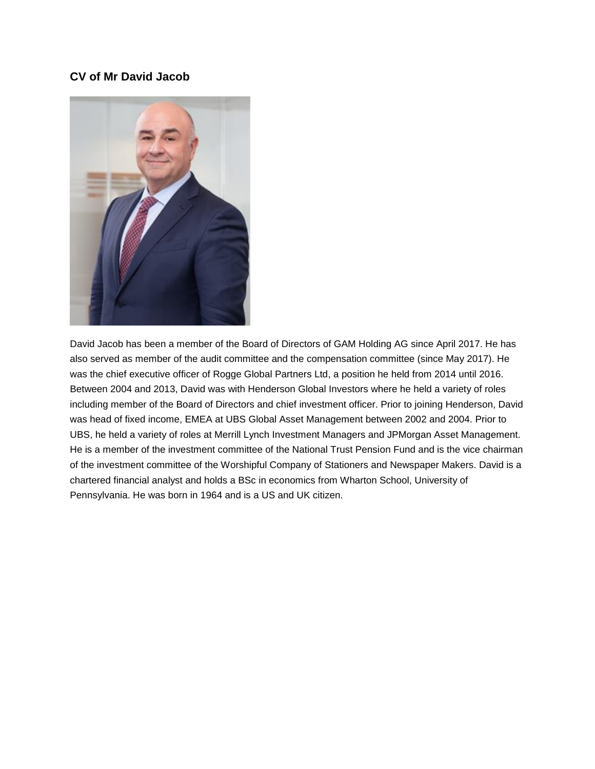## **CV of Mr David Jacob**



David Jacob has been a member of the Board of Directors of GAM Holding AG since April 2017. He has also served as member of the audit committee and the compensation committee (since May 2017). He was the chief executive officer of Rogge Global Partners Ltd, a position he held from 2014 until 2016. Between 2004 and 2013, David was with Henderson Global Investors where he held a variety of roles including member of the Board of Directors and chief investment officer. Prior to joining Henderson, David was head of fixed income, EMEA at UBS Global Asset Management between 2002 and 2004. Prior to UBS, he held a variety of roles at Merrill Lynch Investment Managers and JPMorgan Asset Management. He is a member of the investment committee of the National Trust Pension Fund and is the vice chairman of the investment committee of the Worshipful Company of Stationers and Newspaper Makers. David is a chartered financial analyst and holds a BSc in economics from Wharton School, University of Pennsylvania. He was born in 1964 and is a US and UK citizen.